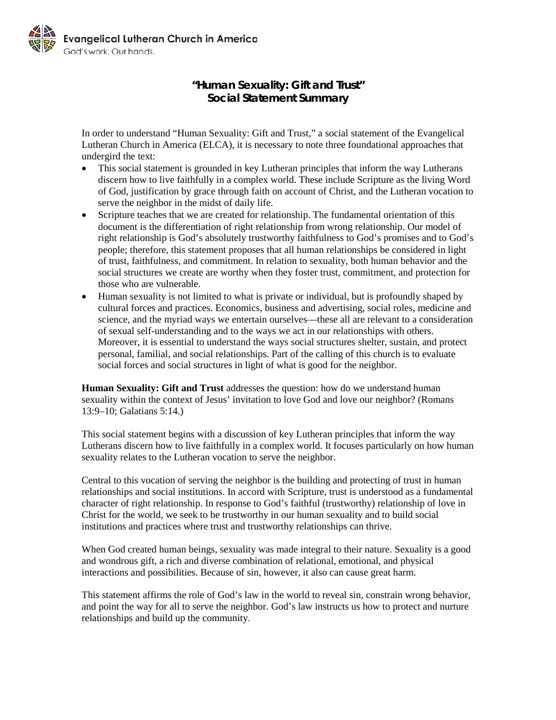

## **"Human Sexuality: Gift and Trust" Social Statement Summary**

In order to understand "Human Sexuality: Gift and Trust," a social statement of the Evangelical Lutheran Church in America (ELCA), it is necessary to note three foundational approaches that undergird the text:

- This social statement is grounded in key Lutheran principles that inform the way Lutherans discern how to live faithfully in a complex world. These include Scripture as the living Word of God, justification by grace through faith on account of Christ, and the Lutheran vocation to serve the neighbor in the midst of daily life.
- Scripture teaches that we are created for relationship. The fundamental orientation of this document is the differentiation of right relationship from wrong relationship. Our model of right relationship is God's absolutely trustworthy faithfulness to God's promises and to God's people; therefore, this statement proposes that all human relationships be considered in light of trust, faithfulness, and commitment. In relation to sexuality, both human behavior and the social structures we create are worthy when they foster trust, commitment, and protection for those who are vulnerable.
- Human sexuality is not limited to what is private or individual, but is profoundly shaped by cultural forces and practices. Economics, business and advertising, social roles, medicine and science, and the myriad ways we entertain ourselves—these all are relevant to a consideration of sexual self-understanding and to the ways we act in our relationships with others. Moreover, it is essential to understand the ways social structures shelter, sustain, and protect personal, familial, and social relationships. Part of the calling of this church is to evaluate social forces and social structures in light of what is good for the neighbor.

**Human Sexuality: Gift and Trust** addresses the question: how do we understand human sexuality within the context of Jesus' invitation to love God and love our neighbor? (Romans 13:9–10; Galatians 5:14.)

This social statement begins with a discussion of key Lutheran principles that inform the way Lutherans discern how to live faithfully in a complex world. It focuses particularly on how human sexuality relates to the Lutheran vocation to serve the neighbor.

Central to this vocation of serving the neighbor is the building and protecting of trust in human relationships and social institutions. In accord with Scripture, trust is understood as a fundamental character of right relationship. In response to God's faithful (trustworthy) relationship of love in Christ for the world, we seek to be trustworthy in our human sexuality and to build social institutions and practices where trust and trustworthy relationships can thrive.

When God created human beings, sexuality was made integral to their nature. Sexuality is a good and wondrous gift, a rich and diverse combination of relational, emotional, and physical interactions and possibilities. Because of sin, however, it also can cause great harm.

This statement affirms the role of God's law in the world to reveal sin, constrain wrong behavior, and point the way for all to serve the neighbor. God's law instructs us how to protect and nurture relationships and build up the community.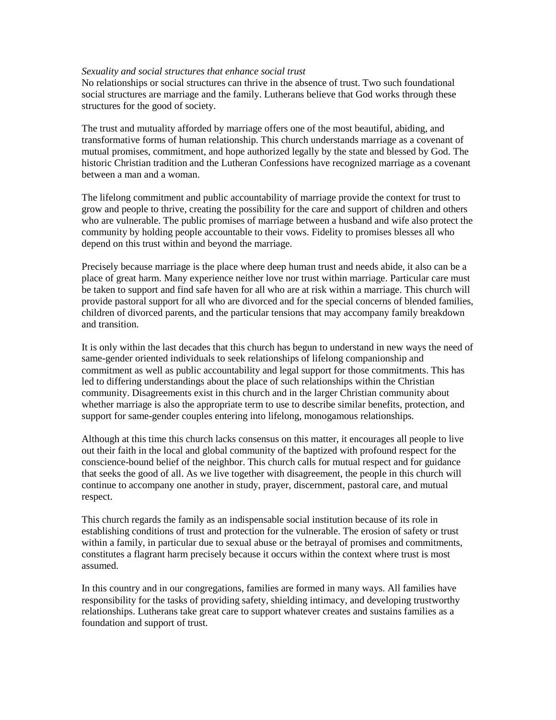## *Sexuality and social structures that enhance social trust*

No relationships or social structures can thrive in the absence of trust. Two such foundational social structures are marriage and the family. Lutherans believe that God works through these structures for the good of society.

The trust and mutuality afforded by marriage offers one of the most beautiful, abiding, and transformative forms of human relationship. This church understands marriage as a covenant of mutual promises, commitment, and hope authorized legally by the state and blessed by God. The historic Christian tradition and the Lutheran Confessions have recognized marriage as a covenant between a man and a woman.

The lifelong commitment and public accountability of marriage provide the context for trust to grow and people to thrive, creating the possibility for the care and support of children and others who are vulnerable. The public promises of marriage between a husband and wife also protect the community by holding people accountable to their vows. Fidelity to promises blesses all who depend on this trust within and beyond the marriage.

Precisely because marriage is the place where deep human trust and needs abide, it also can be a place of great harm. Many experience neither love nor trust within marriage. Particular care must be taken to support and find safe haven for all who are at risk within a marriage. This church will provide pastoral support for all who are divorced and for the special concerns of blended families, children of divorced parents, and the particular tensions that may accompany family breakdown and transition.

It is only within the last decades that this church has begun to understand in new ways the need of same-gender oriented individuals to seek relationships of lifelong companionship and commitment as well as public accountability and legal support for those commitments. This has led to differing understandings about the place of such relationships within the Christian community. Disagreements exist in this church and in the larger Christian community about whether marriage is also the appropriate term to use to describe similar benefits, protection, and support for same-gender couples entering into lifelong, monogamous relationships.

Although at this time this church lacks consensus on this matter, it encourages all people to live out their faith in the local and global community of the baptized with profound respect for the conscience-bound belief of the neighbor. This church calls for mutual respect and for guidance that seeks the good of all. As we live together with disagreement, the people in this church will continue to accompany one another in study, prayer, discernment, pastoral care, and mutual respect.

This church regards the family as an indispensable social institution because of its role in establishing conditions of trust and protection for the vulnerable. The erosion of safety or trust within a family, in particular due to sexual abuse or the betrayal of promises and commitments, constitutes a flagrant harm precisely because it occurs within the context where trust is most assumed.

In this country and in our congregations, families are formed in many ways. All families have responsibility for the tasks of providing safety, shielding intimacy, and developing trustworthy relationships. Lutherans take great care to support whatever creates and sustains families as a foundation and support of trust.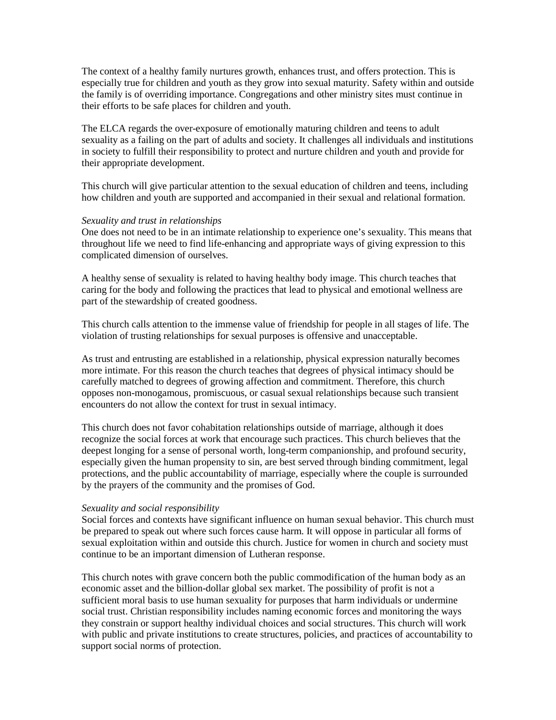The context of a healthy family nurtures growth, enhances trust, and offers protection. This is especially true for children and youth as they grow into sexual maturity. Safety within and outside the family is of overriding importance. Congregations and other ministry sites must continue in their efforts to be safe places for children and youth.

The ELCA regards the over-exposure of emotionally maturing children and teens to adult sexuality as a failing on the part of adults and society. It challenges all individuals and institutions in society to fulfill their responsibility to protect and nurture children and youth and provide for their appropriate development.

This church will give particular attention to the sexual education of children and teens, including how children and youth are supported and accompanied in their sexual and relational formation.

## *Sexuality and trust in relationships*

One does not need to be in an intimate relationship to experience one's sexuality. This means that throughout life we need to find life-enhancing and appropriate ways of giving expression to this complicated dimension of ourselves.

A healthy sense of sexuality is related to having healthy body image. This church teaches that caring for the body and following the practices that lead to physical and emotional wellness are part of the stewardship of created goodness.

This church calls attention to the immense value of friendship for people in all stages of life. The violation of trusting relationships for sexual purposes is offensive and unacceptable.

As trust and entrusting are established in a relationship, physical expression naturally becomes more intimate. For this reason the church teaches that degrees of physical intimacy should be carefully matched to degrees of growing affection and commitment. Therefore, this church opposes non-monogamous, promiscuous, or casual sexual relationships because such transient encounters do not allow the context for trust in sexual intimacy.

This church does not favor cohabitation relationships outside of marriage, although it does recognize the social forces at work that encourage such practices. This church believes that the deepest longing for a sense of personal worth, long-term companionship, and profound security, especially given the human propensity to sin, are best served through binding commitment, legal protections, and the public accountability of marriage, especially where the couple is surrounded by the prayers of the community and the promises of God.

## *Sexuality and social responsibility*

Social forces and contexts have significant influence on human sexual behavior. This church must be prepared to speak out where such forces cause harm. It will oppose in particular all forms of sexual exploitation within and outside this church. Justice for women in church and society must continue to be an important dimension of Lutheran response.

This church notes with grave concern both the public commodification of the human body as an economic asset and the billion-dollar global sex market. The possibility of profit is not a sufficient moral basis to use human sexuality for purposes that harm individuals or undermine social trust. Christian responsibility includes naming economic forces and monitoring the ways they constrain or support healthy individual choices and social structures. This church will work with public and private institutions to create structures, policies, and practices of accountability to support social norms of protection.